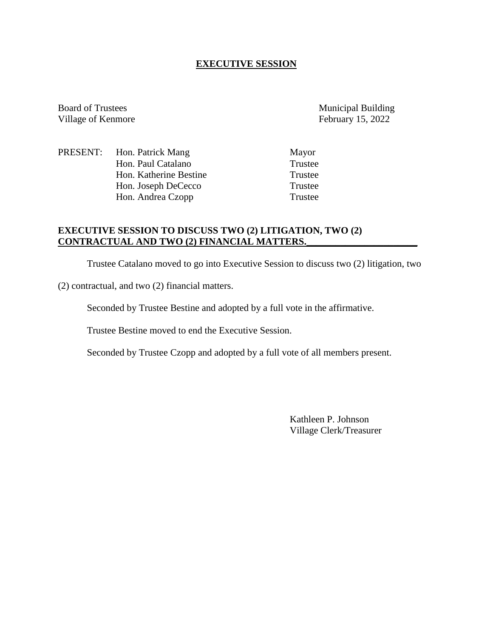## **EXECUTIVE SESSION**

Board of Trustees Municipal Building Village of Kenmore February 15, 2022

PRESENT: Hon. Patrick Mang Mayor Hon. Paul Catalano Trustee<br>
Hon Katherine Bestine Trustee Hon. Katherine Bestine Hon. Joseph DeCecco Trustee Hon. Andrea Czopp Trustee

# **EXECUTIVE SESSION TO DISCUSS TWO (2) LITIGATION, TWO (2) CONTRACTUAL AND TWO (2) FINANCIAL MATTERS.\_\_\_\_\_\_\_\_\_\_\_\_\_\_\_\_\_\_\_\_\_\_\_**

Trustee Catalano moved to go into Executive Session to discuss two (2) litigation, two

(2) contractual, and two (2) financial matters.

Seconded by Trustee Bestine and adopted by a full vote in the affirmative.

Trustee Bestine moved to end the Executive Session.

Seconded by Trustee Czopp and adopted by a full vote of all members present.

Kathleen P. Johnson Village Clerk/Treasurer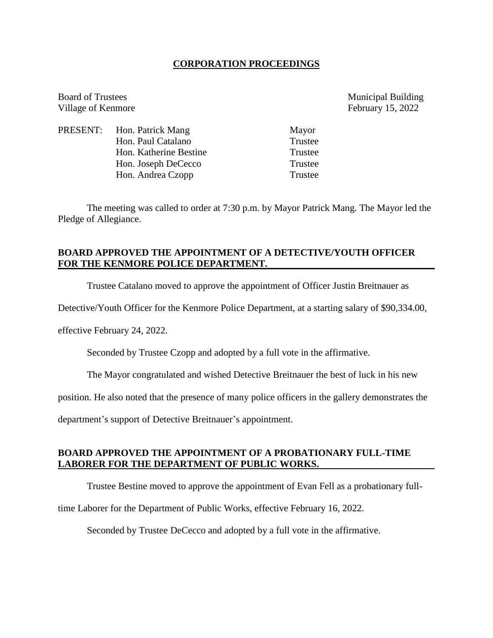#### **CORPORATION PROCEEDINGS**

Board of Trustees Municipal Building Village of Kenmore February 15, 2022

PRESENT: Hon. Patrick Mang Mayor Hon. Paul Catalano Trustee Hon. Katherine Bestine Trustee Hon. Joseph DeCecco Trustee Hon. Andrea Czopp Trustee

The meeting was called to order at 7:30 p.m. by Mayor Patrick Mang. The Mayor led the Pledge of Allegiance.

### **BOARD APPROVED THE APPOINTMENT OF A DETECTIVE/YOUTH OFFICER FOR THE KENMORE POLICE DEPARTMENT.**

Trustee Catalano moved to approve the appointment of Officer Justin Breitnauer as

Detective/Youth Officer for the Kenmore Police Department, at a starting salary of \$90,334.00,

effective February 24, 2022.

Seconded by Trustee Czopp and adopted by a full vote in the affirmative.

The Mayor congratulated and wished Detective Breitnauer the best of luck in his new

position. He also noted that the presence of many police officers in the gallery demonstrates the

department's support of Detective Breitnauer's appointment.

#### **BOARD APPROVED THE APPOINTMENT OF A PROBATIONARY FULL-TIME LABORER FOR THE DEPARTMENT OF PUBLIC WORKS.**

Trustee Bestine moved to approve the appointment of Evan Fell as a probationary full-

time Laborer for the Department of Public Works, effective February 16, 2022.

Seconded by Trustee DeCecco and adopted by a full vote in the affirmative.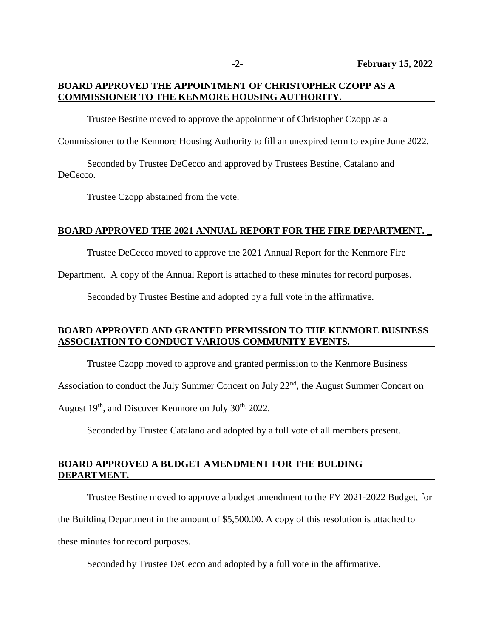# **BOARD APPROVED THE APPOINTMENT OF CHRISTOPHER CZOPP AS A COMMISSIONER TO THE KENMORE HOUSING AUTHORITY.**

Trustee Bestine moved to approve the appointment of Christopher Czopp as a

Commissioner to the Kenmore Housing Authority to fill an unexpired term to expire June 2022.

Seconded by Trustee DeCecco and approved by Trustees Bestine, Catalano and DeCecco.

Trustee Czopp abstained from the vote.

#### **BOARD APPROVED THE 2021 ANNUAL REPORT FOR THE FIRE DEPARTMENT. \_**

Trustee DeCecco moved to approve the 2021 Annual Report for the Kenmore Fire

Department. A copy of the Annual Report is attached to these minutes for record purposes.

Seconded by Trustee Bestine and adopted by a full vote in the affirmative.

# **BOARD APPROVED AND GRANTED PERMISSION TO THE KENMORE BUSINESS ASSOCIATION TO CONDUCT VARIOUS COMMUNITY EVENTS.**

Trustee Czopp moved to approve and granted permission to the Kenmore Business

Association to conduct the July Summer Concert on July  $22<sup>nd</sup>$ , the August Summer Concert on

August 19<sup>th</sup>, and Discover Kenmore on July 30<sup>th,</sup> 2022.

Seconded by Trustee Catalano and adopted by a full vote of all members present.

### **BOARD APPROVED A BUDGET AMENDMENT FOR THE BULDING DEPARTMENT.**

Trustee Bestine moved to approve a budget amendment to the FY 2021-2022 Budget, for

the Building Department in the amount of \$5,500.00. A copy of this resolution is attached to

these minutes for record purposes.

Seconded by Trustee DeCecco and adopted by a full vote in the affirmative.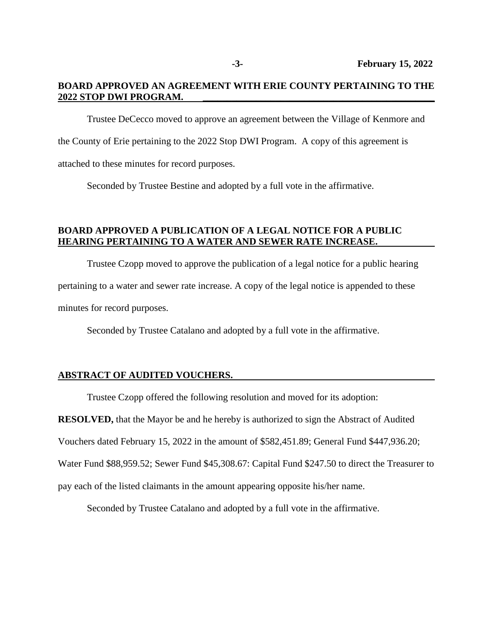### **BOARD APPROVED AN AGREEMENT WITH ERIE COUNTY PERTAINING TO THE 2022 STOP DWI PROGRAM. \_\_\_\_\_\_\_\_\_\_\_\_\_\_\_\_\_\_\_\_\_\_\_\_\_\_\_\_\_\_\_\_\_\_\_\_\_\_\_\_\_\_\_\_\_\_\_\_**

Trustee DeCecco moved to approve an agreement between the Village of Kenmore and the County of Erie pertaining to the 2022 Stop DWI Program. A copy of this agreement is attached to these minutes for record purposes.

Seconded by Trustee Bestine and adopted by a full vote in the affirmative.

# **BOARD APPROVED A PUBLICATION OF A LEGAL NOTICE FOR A PUBLIC HEARING PERTAINING TO A WATER AND SEWER RATE INCREASE.**

Trustee Czopp moved to approve the publication of a legal notice for a public hearing pertaining to a water and sewer rate increase. A copy of the legal notice is appended to these minutes for record purposes.

Seconded by Trustee Catalano and adopted by a full vote in the affirmative.

#### **ABSTRACT OF AUDITED VOUCHERS.**

Trustee Czopp offered the following resolution and moved for its adoption:

**RESOLVED,** that the Mayor be and he hereby is authorized to sign the Abstract of Audited

Vouchers dated February 15, 2022 in the amount of \$582,451.89; General Fund \$447,936.20;

Water Fund \$88,959.52; Sewer Fund \$45,308.67: Capital Fund \$247.50 to direct the Treasurer to

pay each of the listed claimants in the amount appearing opposite his/her name.

Seconded by Trustee Catalano and adopted by a full vote in the affirmative.